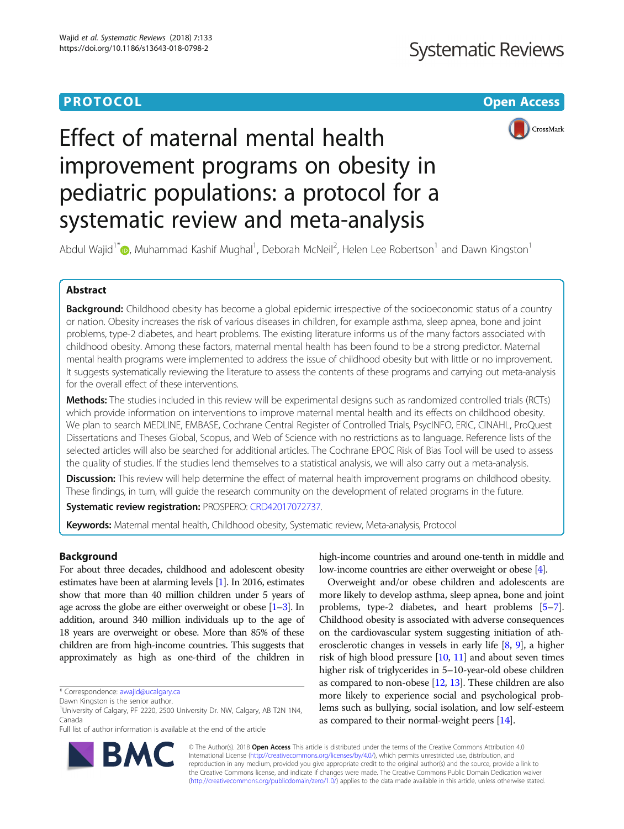# **PROTOCOL CONSUMING THE OPEN ACCESS**



# Effect of maternal mental health improvement programs on obesity in pediatric populations: a protocol for a systematic review and meta-analysis

Abdul Wajid<sup>1\*</sup> (D)[,](http://orcid.org/0000-0001-9594-620X) Muhammad Kashif Mughal<sup>1</sup>, Deborah McNeil<sup>2</sup>, Helen Lee Robertson<sup>1</sup> and Dawn Kingston<sup>1</sup>

# Abstract

Background: Childhood obesity has become a global epidemic irrespective of the socioeconomic status of a country or nation. Obesity increases the risk of various diseases in children, for example asthma, sleep apnea, bone and joint problems, type-2 diabetes, and heart problems. The existing literature informs us of the many factors associated with childhood obesity. Among these factors, maternal mental health has been found to be a strong predictor. Maternal mental health programs were implemented to address the issue of childhood obesity but with little or no improvement. It suggests systematically reviewing the literature to assess the contents of these programs and carrying out meta-analysis for the overall effect of these interventions.

Methods: The studies included in this review will be experimental designs such as randomized controlled trials (RCTs) which provide information on interventions to improve maternal mental health and its effects on childhood obesity. We plan to search MEDLINE, EMBASE, Cochrane Central Register of Controlled Trials, PsycINFO, ERIC, CINAHL, ProQuest Dissertations and Theses Global, Scopus, and Web of Science with no restrictions as to language. Reference lists of the selected articles will also be searched for additional articles. The Cochrane EPOC Risk of Bias Tool will be used to assess the quality of studies. If the studies lend themselves to a statistical analysis, we will also carry out a meta-analysis.

Discussion: This review will help determine the effect of maternal health improvement programs on childhood obesity. These findings, in turn, will guide the research community on the development of related programs in the future.

Systematic review registration: PROSPERO: [CRD42017072737](https://www.crd.york.ac.uk/PROSPERO/#searchadvanced).

Keywords: Maternal mental health, Childhood obesity, Systematic review, Meta-analysis, Protocol

# Background

For about three decades, childhood and adolescent obesity estimates have been at alarming levels [[1](#page-4-0)]. In 2016, estimates show that more than 40 million children under 5 years of age across the globe are either overweight or obese  $[1-3]$  $[1-3]$  $[1-3]$  $[1-3]$ . In addition, around 340 million individuals up to the age of 18 years are overweight or obese. More than 85% of these children are from high-income countries. This suggests that approximately as high as one-third of the children in

RA

high-income countries and around one-tenth in middle and low-income countries are either overweight or obese [\[4\]](#page-4-0).

Overweight and/or obese children and adolescents are more likely to develop asthma, sleep apnea, bone and joint problems, type-2 diabetes, and heart problems [\[5](#page-4-0)–[7](#page-4-0)]. Childhood obesity is associated with adverse consequences on the cardiovascular system suggesting initiation of atherosclerotic changes in vessels in early life [[8,](#page-4-0) [9\]](#page-4-0), a higher risk of high blood pressure  $[10, 11]$  $[10, 11]$  $[10, 11]$  and about seven times higher risk of triglycerides in 5–10-year-old obese children as compared to non-obese [\[12,](#page-4-0) [13](#page-4-0)]. These children are also more likely to experience social and psychological problems such as bullying, social isolation, and low self-esteem as compared to their normal-weight peers [\[14\]](#page-4-0).

© The Author(s). 2018 Open Access This article is distributed under the terms of the Creative Commons Attribution 4.0 International License [\(http://creativecommons.org/licenses/by/4.0/](http://creativecommons.org/licenses/by/4.0/)), which permits unrestricted use, distribution, and reproduction in any medium, provided you give appropriate credit to the original author(s) and the source, provide a link to the Creative Commons license, and indicate if changes were made. The Creative Commons Public Domain Dedication waiver [\(http://creativecommons.org/publicdomain/zero/1.0/](http://creativecommons.org/publicdomain/zero/1.0/)) applies to the data made available in this article, unless otherwise stated.

<sup>\*</sup> Correspondence: [awajid@ucalgary.ca](mailto:awajid@ucalgary.ca)

Dawn Kingston is the senior author.

<sup>&</sup>lt;sup>1</sup>University of Calgary, PF 2220, 2500 University Dr. NW, Calgary, AB T2N 1N4, Canada

Full list of author information is available at the end of the article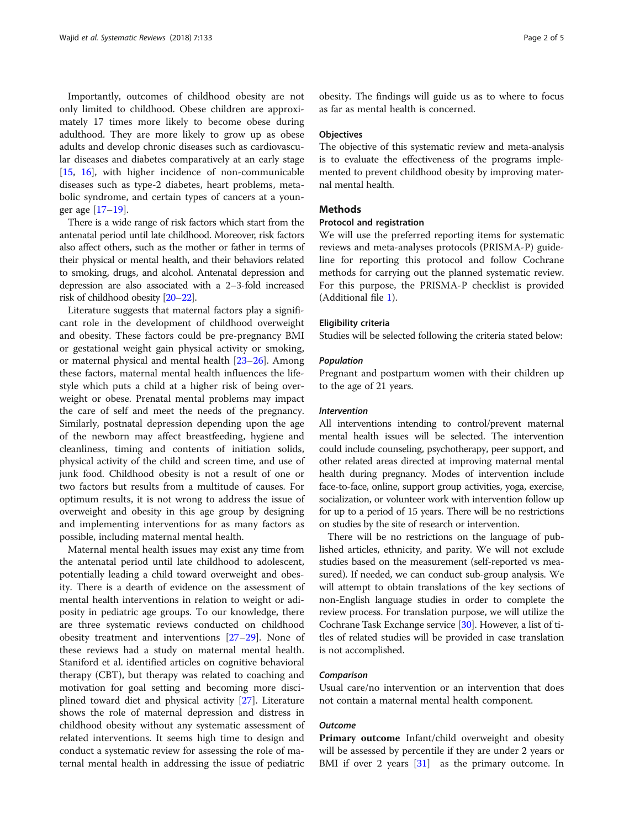Importantly, outcomes of childhood obesity are not only limited to childhood. Obese children are approximately 17 times more likely to become obese during adulthood. They are more likely to grow up as obese adults and develop chronic diseases such as cardiovascular diseases and diabetes comparatively at an early stage [[15,](#page-4-0) [16](#page-4-0)], with higher incidence of non-communicable diseases such as type-2 diabetes, heart problems, metabolic syndrome, and certain types of cancers at a younger age [[17](#page-4-0)–[19\]](#page-4-0).

There is a wide range of risk factors which start from the antenatal period until late childhood. Moreover, risk factors also affect others, such as the mother or father in terms of their physical or mental health, and their behaviors related to smoking, drugs, and alcohol. Antenatal depression and depression are also associated with a 2–3-fold increased risk of childhood obesity [\[20](#page-4-0)–[22\]](#page-4-0).

Literature suggests that maternal factors play a significant role in the development of childhood overweight and obesity. These factors could be pre-pregnancy BMI or gestational weight gain physical activity or smoking, or maternal physical and mental health [[23](#page-4-0)–[26](#page-4-0)]. Among these factors, maternal mental health influences the lifestyle which puts a child at a higher risk of being overweight or obese. Prenatal mental problems may impact the care of self and meet the needs of the pregnancy. Similarly, postnatal depression depending upon the age of the newborn may affect breastfeeding, hygiene and cleanliness, timing and contents of initiation solids, physical activity of the child and screen time, and use of junk food. Childhood obesity is not a result of one or two factors but results from a multitude of causes. For optimum results, it is not wrong to address the issue of overweight and obesity in this age group by designing and implementing interventions for as many factors as possible, including maternal mental health.

Maternal mental health issues may exist any time from the antenatal period until late childhood to adolescent, potentially leading a child toward overweight and obesity. There is a dearth of evidence on the assessment of mental health interventions in relation to weight or adiposity in pediatric age groups. To our knowledge, there are three systematic reviews conducted on childhood obesity treatment and interventions [[27](#page-4-0)–[29](#page-4-0)]. None of these reviews had a study on maternal mental health. Staniford et al. identified articles on cognitive behavioral therapy (CBT), but therapy was related to coaching and motivation for goal setting and becoming more disciplined toward diet and physical activity [[27\]](#page-4-0). Literature shows the role of maternal depression and distress in childhood obesity without any systematic assessment of related interventions. It seems high time to design and conduct a systematic review for assessing the role of maternal mental health in addressing the issue of pediatric

obesity. The findings will guide us as to where to focus as far as mental health is concerned.

# **Objectives**

The objective of this systematic review and meta-analysis is to evaluate the effectiveness of the programs implemented to prevent childhood obesity by improving maternal mental health.

# **Methods**

# Protocol and registration

We will use the preferred reporting items for systematic reviews and meta-analyses protocols (PRISMA-P) guideline for reporting this protocol and follow Cochrane methods for carrying out the planned systematic review. For this purpose, the PRISMA-P checklist is provided (Additional file [1](#page-3-0)).

# Eligibility criteria

Studies will be selected following the criteria stated below:

# Population

Pregnant and postpartum women with their children up to the age of 21 years.

# Intervention

All interventions intending to control/prevent maternal mental health issues will be selected. The intervention could include counseling, psychotherapy, peer support, and other related areas directed at improving maternal mental health during pregnancy. Modes of intervention include face-to-face, online, support group activities, yoga, exercise, socialization, or volunteer work with intervention follow up for up to a period of 15 years. There will be no restrictions on studies by the site of research or intervention.

There will be no restrictions on the language of published articles, ethnicity, and parity. We will not exclude studies based on the measurement (self-reported vs measured). If needed, we can conduct sub-group analysis. We will attempt to obtain translations of the key sections of non-English language studies in order to complete the review process. For translation purpose, we will utilize the Cochrane Task Exchange service [\[30](#page-4-0)]. However, a list of titles of related studies will be provided in case translation is not accomplished.

# Comparison

Usual care/no intervention or an intervention that does not contain a maternal mental health component.

# **Outcome**

Primary outcome Infant/child overweight and obesity will be assessed by percentile if they are under 2 years or BMI if over 2 years [[31\]](#page-4-0) as the primary outcome. In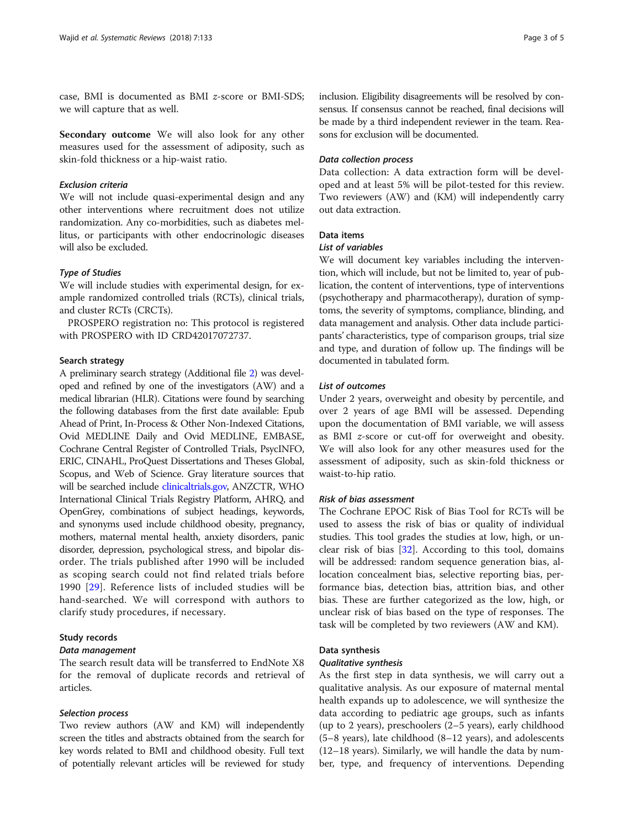case, BMI is documented as BMI z-score or BMI-SDS; we will capture that as well.

Secondary outcome We will also look for any other measures used for the assessment of adiposity, such as skin-fold thickness or a hip-waist ratio.

# Exclusion criteria

We will not include quasi-experimental design and any other interventions where recruitment does not utilize randomization. Any co-morbidities, such as diabetes mellitus, or participants with other endocrinologic diseases will also be excluded.

# Type of Studies

We will include studies with experimental design, for example randomized controlled trials (RCTs), clinical trials, and cluster RCTs (CRCTs).

PROSPERO registration no: This protocol is registered with PROSPERO with ID CRD42017072737.

# Search strategy

A preliminary search strategy (Additional file [2\)](#page-3-0) was developed and refined by one of the investigators (AW) and a medical librarian (HLR). Citations were found by searching the following databases from the first date available: Epub Ahead of Print, In-Process & Other Non-Indexed Citations, Ovid MEDLINE Daily and Ovid MEDLINE, EMBASE, Cochrane Central Register of Controlled Trials, PsycINFO, ERIC, CINAHL, ProQuest Dissertations and Theses Global, Scopus, and Web of Science. Gray literature sources that will be searched include [clinicaltrials.gov,](http://clinicaltrials.gov) ANZCTR, WHO International Clinical Trials Registry Platform, AHRQ, and OpenGrey, combinations of subject headings, keywords, and synonyms used include childhood obesity, pregnancy, mothers, maternal mental health, anxiety disorders, panic disorder, depression, psychological stress, and bipolar disorder. The trials published after 1990 will be included as scoping search could not find related trials before 1990 [[29](#page-4-0)]. Reference lists of included studies will be hand-searched. We will correspond with authors to clarify study procedures, if necessary.

# Study records

# Data management

The search result data will be transferred to EndNote X8 for the removal of duplicate records and retrieval of articles.

# Selection process

Two review authors (AW and KM) will independently screen the titles and abstracts obtained from the search for key words related to BMI and childhood obesity. Full text of potentially relevant articles will be reviewed for study

inclusion. Eligibility disagreements will be resolved by consensus. If consensus cannot be reached, final decisions will be made by a third independent reviewer in the team. Reasons for exclusion will be documented.

# Data collection process

Data collection: A data extraction form will be developed and at least 5% will be pilot-tested for this review. Two reviewers (AW) and (KM) will independently carry out data extraction.

# Data items

# List of variables

We will document key variables including the intervention, which will include, but not be limited to, year of publication, the content of interventions, type of interventions (psychotherapy and pharmacotherapy), duration of symptoms, the severity of symptoms, compliance, blinding, and data management and analysis. Other data include participants' characteristics, type of comparison groups, trial size and type, and duration of follow up. The findings will be documented in tabulated form.

# List of outcomes

Under 2 years, overweight and obesity by percentile, and over 2 years of age BMI will be assessed. Depending upon the documentation of BMI variable, we will assess as BMI z-score or cut-off for overweight and obesity. We will also look for any other measures used for the assessment of adiposity, such as skin-fold thickness or waist-to-hip ratio.

# Risk of bias assessment

The Cochrane EPOC Risk of Bias Tool for RCTs will be used to assess the risk of bias or quality of individual studies. This tool grades the studies at low, high, or unclear risk of bias [[32\]](#page-4-0). According to this tool, domains will be addressed: random sequence generation bias, allocation concealment bias, selective reporting bias, performance bias, detection bias, attrition bias, and other bias. These are further categorized as the low, high, or unclear risk of bias based on the type of responses. The task will be completed by two reviewers (AW and KM).

# Data synthesis

# Qualitative synthesis

As the first step in data synthesis, we will carry out a qualitative analysis. As our exposure of maternal mental health expands up to adolescence, we will synthesize the data according to pediatric age groups, such as infants (up to 2 years), preschoolers (2–5 years), early childhood (5–8 years), late childhood (8–12 years), and adolescents (12–18 years). Similarly, we will handle the data by number, type, and frequency of interventions. Depending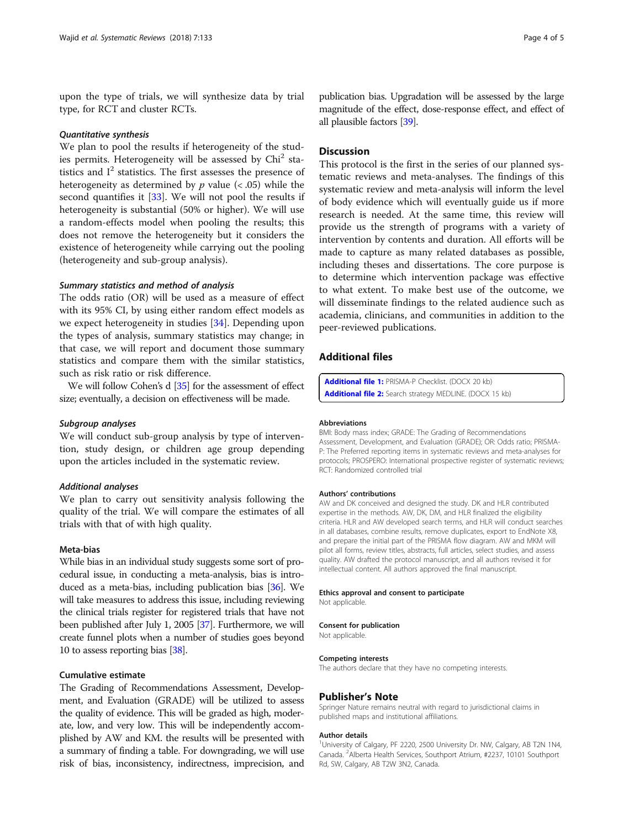<span id="page-3-0"></span>upon the type of trials, we will synthesize data by trial type, for RCT and cluster RCTs.

# Quantitative synthesis

We plan to pool the results if heterogeneity of the studies permits. Heterogeneity will be assessed by  $Chi<sup>2</sup>$  statistics and  $I<sup>2</sup>$  statistics. The first assesses the presence of heterogeneity as determined by  $p$  value  $\langle \langle .05 \rangle$  while the second quantifies it [[33](#page-4-0)]. We will not pool the results if heterogeneity is substantial (50% or higher). We will use a random-effects model when pooling the results; this does not remove the heterogeneity but it considers the existence of heterogeneity while carrying out the pooling (heterogeneity and sub-group analysis).

# Summary statistics and method of analysis

The odds ratio (OR) will be used as a measure of effect with its 95% CI, by using either random effect models as we expect heterogeneity in studies [[34\]](#page-4-0). Depending upon the types of analysis, summary statistics may change; in that case, we will report and document those summary statistics and compare them with the similar statistics, such as risk ratio or risk difference.

We will follow Cohen's d [[35](#page-4-0)] for the assessment of effect size; eventually, a decision on effectiveness will be made.

# Subgroup analyses

We will conduct sub-group analysis by type of intervention, study design, or children age group depending upon the articles included in the systematic review.

# Additional analyses

We plan to carry out sensitivity analysis following the quality of the trial. We will compare the estimates of all trials with that of with high quality.

# Meta-bias

While bias in an individual study suggests some sort of procedural issue, in conducting a meta-analysis, bias is introduced as a meta-bias, including publication bias [\[36\]](#page-4-0). We will take measures to address this issue, including reviewing the clinical trials register for registered trials that have not been published after July 1, 2005 [\[37](#page-4-0)]. Furthermore, we will create funnel plots when a number of studies goes beyond 10 to assess reporting bias [[38\]](#page-4-0).

# Cumulative estimate

The Grading of Recommendations Assessment, Development, and Evaluation (GRADE) will be utilized to assess the quality of evidence. This will be graded as high, moderate, low, and very low. This will be independently accomplished by AW and KM. the results will be presented with a summary of finding a table. For downgrading, we will use risk of bias, inconsistency, indirectness, imprecision, and

publication bias. Upgradation will be assessed by the large magnitude of the effect, dose-response effect, and effect of all plausible factors [\[39](#page-4-0)].

# **Discussion**

This protocol is the first in the series of our planned systematic reviews and meta-analyses. The findings of this systematic review and meta-analysis will inform the level of body evidence which will eventually guide us if more research is needed. At the same time, this review will provide us the strength of programs with a variety of intervention by contents and duration. All efforts will be made to capture as many related databases as possible, including theses and dissertations. The core purpose is to determine which intervention package was effective to what extent. To make best use of the outcome, we will disseminate findings to the related audience such as academia, clinicians, and communities in addition to the peer-reviewed publications.

# Additional files

[Additional file 1:](https://doi.org/10.1186/s13643-018-0798-2) PRISMA-P Checklist. (DOCX 20 kb) [Additional file 2:](https://doi.org/10.1186/s13643-018-0798-2) Search strategy MEDLINE. (DOCX 15 kb)

#### Abbreviations

BMI: Body mass index; GRADE: The Grading of Recommendations Assessment, Development, and Evaluation (GRADE); OR: Odds ratio; PRISMA-P: The Preferred reporting items in systematic reviews and meta-analyses for protocols; PROSPERO: International prospective register of systematic reviews; RCT: Randomized controlled trial

#### Authors' contributions

AW and DK conceived and designed the study. DK and HLR contributed expertise in the methods. AW, DK, DM, and HLR finalized the eligibility criteria. HLR and AW developed search terms, and HLR will conduct searches in all databases, combine results, remove duplicates, export to EndNote X8, and prepare the initial part of the PRISMA flow diagram. AW and MKM will pilot all forms, review titles, abstracts, full articles, select studies, and assess quality. AW drafted the protocol manuscript, and all authors revised it for intellectual content. All authors approved the final manuscript.

#### Ethics approval and consent to participate

Not applicable.

#### Consent for publication

Not applicable.

#### Competing interests

The authors declare that they have no competing interests.

# Publisher's Note

Springer Nature remains neutral with regard to jurisdictional claims in published maps and institutional affiliations.

#### Author details

<sup>1</sup>University of Calgary, PF 2220, 2500 University Dr. NW, Calgary, AB T2N 1N4 Canada. <sup>2</sup> Alberta Health Services, Southport Atrium, #2237, 10101 Southport Rd, SW, Calgary, AB T2W 3N2, Canada.